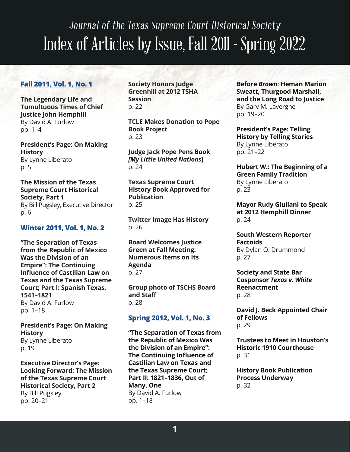# Journal of the Texas Supreme Court Historical Society Index of Articles by Issue, Fall 2011 - Spring 2022

# **[Fall 2011, Vol. 1, No. 1](https://www.texascourthistory.org/Content/Newsletters//TSCHS_JournalFall2011.pdf)**

**The Legendary Life and Tumultuous Times of Chief Justice John Hemphill** By David A. Furlow pp. 1–4

**President's Page: On Making History** By Lynne Liberato p. 5

**The Mission of the Texas Supreme Court Historical Society, Part 1** By Bill Pugsley, Executive Director p. 6

## **[Winter 2011, Vol. 1, No. 2](https://www.texascourthistory.org/Content/Newsletters//TSCHS_JournalWinter2011.pdf)**

**"The Separation of Texas from the Republic of Mexico Was the Division of an Empire": The Continuing Influence of Castilian Law on Texas and the Texas Supreme Court; Part I: Spanish Texas, 1541–1821** By David A. Furlow pp. 1–18

**President's Page: On Making History** By Lynne Liberato p. 19

**Executive Director's Page: Looking Forward: The Mission of the Texas Supreme Court Historical Society, Part 2** By Bill Pugsley pp. 20–21

**Society Honors Judge Greenhill at 2012 TSHA Session** p. 22

**TCLE Makes Donation to Pope Book Project** p. 23

**Judge Jack Pope Pens Book**  *[My Little United Nations***]** p. 24

**Texas Supreme Court History Book Approved for Publication** p. 25

**Twitter Image Has History** p. 26

**Board Welcomes Justice Green at Fall Meeting: Numerous Items on Its Agenda** p. 27

**Group photo of TSCHS Board and Staff** p. 28

## **[Spring 2012, Vol. 1, No. 3](https://www.texascourthistory.org/Content/Newsletters//TSCHS_JournalSpring2012.pdf)**

**"The Separation of Texas from the Republic of Mexico Was the Division of an Empire": The Continuing Influence of Castilian Law on Texas and the Texas Supreme Court; Part II: 1821–1836, Out of Many, One** By David A. Furlow pp. 1–18

**Before** *Brown***: Heman Marion Sweatt, Thurgood Marshall, and the Long Road to Justice** By Gary M. Lavergne pp. 19–20

**President's Page: Telling History by Telling Stories** By Lynne Liberato pp. 21–22

**Hubert W.: The Beginning of a Green Family Tradition** By Lynne Liberato p. 23

**Mayor Rudy Giuliani to Speak at 2012 Hemphill Dinner** p. 24

**South Western Reporter Factoids** By Dylan O. Drummond p. 27

**Society and State Bar Cosponsor** *Texas v. White* **Reenactment** p. 28

**David J. Beck Appointed Chair of Fellows** p. 29

**Trustees to Meet in Houston's Historic 1910 Courthouse** p. 31

**History Book Publication Process Underway** p. 32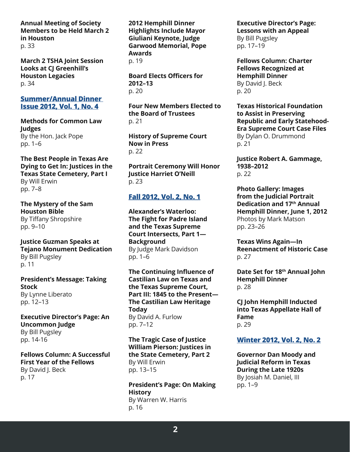#### **Annual Meeting of Society Members to be Held March 2 in Houston** p. 33

**March 2 TSHA Joint Session Looks at CJ Greenhill's Houston Legacies** p. 34

#### **[Summer/Annual Dinner](https://www.texascourthistory.org/Content/Newsletters//TSCHS_JournalSummerDinner2012.pdf)  [Issue 2012, Vol. 1, No. 4](https://www.texascourthistory.org/Content/Newsletters//TSCHS_JournalSummerDinner2012.pdf)**

**Methods for Common Law Judges** By the Hon. Jack Pope pp. 1–6

**The Best People in Texas Are Dying to Get In: Justices in the Texas State Cemetery, Part I** By Will Erwin pp. 7–8

**The Mystery of the Sam Houston Bible** By Tiffany Shropshire pp. 9–10

**Justice Guzman Speaks at Tejano Monument Dedication** By Bill Pugsley p. 11

**President's Message: Taking Stock** By Lynne Liberato pp. 12–13

**Executive Director's Page: An Uncommon Judge** By Bill Pugsley pp. 14-16

**Fellows Column: A Successful First Year of the Fellows** By David J. Beck p. 17

**2012 Hemphill Dinner Highlights Include Mayor Giuliani Keynote, Judge Garwood Memorial, Pope Awards**  p. 19

**Board Elects Officers for 2012–13** p. 20

**Four New Members Elected to the Board of Trustees** p. 21

**History of Supreme Court Now in Press** p. 22

**Portrait Ceremony Will Honor Justice Harriet O'Neill** p. 23

# **[Fall 2012, Vol. 2, No. 1](https://www.texascourthistory.org/Content/Newsletters//TSCHS_Journal_Fall2012%20(1).pdf)**

**Alexander's Waterloo: The Fight for Padre Island and the Texas Supreme Court Intersects, Part 1— Background** By Judge Mark Davidson pp. 1–6

**The Continuing Influence of Castilian Law on Texas and the Texas Supreme Court, Part III: 1845 to the Present— The Castilian Law Heritage Today** By David A. Furlow pp. 7–12

**The Tragic Case of Justice William Pierson: Justices in the State Cemetery, Part 2** By Will Erwin pp. 13–15

**President's Page: On Making History** By Warren W. Harris p. 16

# **Executive Director's Page:**

**Lessons with an Appeal** By Bill Pugsley pp. 17–19

**Fellows Column: Charter Fellows Recognized at Hemphill Dinner** By David I. Beck p. 20

**Texas Historical Foundation to Assist in Preserving Republic and Early Statehood-Era Supreme Court Case Files** By Dylan O. Drummond p. 21

**Justice Robert A. Gammage, 1938–2012** p. 22

**Photo Gallery: Images from the Judicial Portrait Dedication and 17th Annual Hemphill Dinner, June 1, 2012**  Photos by Mark Matson pp. 23–26

**Texas Wins Again—In Reenactment of Historic Case** p. 27

**Date Set for 18th Annual John Hemphill Dinner** p. 28

**CJ John Hemphill Inducted into Texas Appellate Hall of Fame** p. 29

## **[Winter 2012, Vol. 2, No. 2](https://www.texascourthistory.org/Content/Newsletters//TSCHS_Journal_Winter2012.pdf)**

**Governor Dan Moody and Judicial Reform in Texas During the Late 1920s** By Josiah M. Daniel, III pp. 1–9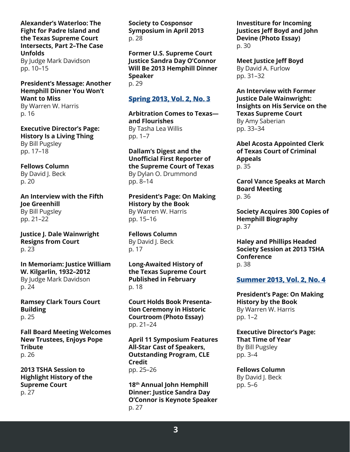**Alexander's Waterloo: The Fight for Padre Island and the Texas Supreme Court Intersects, Part 2–The Case Unfolds** By Judge Mark Davidson pp. 10–15

## **President's Message: Another Hemphill Dinner You Won't Want to Miss**

By Warren W. Harris p. 16

**Executive Director's Page: History Is a Living Thing** By Bill Pugsley pp. 17–18

**Fellows Column** By David J. Beck p. 20

**An Interview with the Fifth Joe Greenhill** By Bill Pugsley pp. 21–22

**Justice J. Dale Wainwright Resigns from Court** p. 23

**In Memoriam: Justice William W. Kilgarlin, 1932–2012** By Judge Mark Davidson p. 24

**Ramsey Clark Tours Court Building** p. 25

**Fall Board Meeting Welcomes New Trustees, Enjoys Pope Tribute** p. 26

**2013 TSHA Session to Highlight History of the Supreme Court** p. 27

**Society to Cosponsor Symposium in April 2013** p. 28

**Former U.S. Supreme Court Justice Sandra Day O'Connor Will Be 2013 Hemphill Dinner Speaker** p. 29

# **[Spring 2013, Vol. 2, No. 3](https://www.texascourthistory.org/Content/Newsletters//TSCHS_Journal_Spring_2013.pdf)**

**Arbitration Comes to Texas and Flourishes** By Tasha Lea Willis pp. 1–7

**Dallam's Digest and the Unofficial First Reporter of the Supreme Court of Texas** By Dylan O. Drummond pp. 8–14

**President's Page: On Making History by the Book** By Warren W. Harris pp. 15–16

**Fellows Column** By David J. Beck p. 17

**Long-Awaited History of the Texas Supreme Court Published in February** p. 18

**Court Holds Book Presentation Ceremony in Historic Courtroom (Photo Essay)** pp. 21–24

**April 11 Symposium Features All-Star Cast of Speakers, Outstanding Program, CLE Credit** pp. 25–26

**18th Annual John Hemphill Dinner: Justice Sandra Day O'Connor is Keynote Speaker** p. 27

**Investiture for Incoming Justices Jeff Boyd and John Devine (Photo Essay)** p. 30

**Meet Justice Jeff Boyd** By David A. Furlow pp. 31–32

**An Interview with Former Justice Dale Wainwright: Insights on His Service on the Texas Supreme Court** By Amy Saberian pp. 33–34

**Abel Acosta Appointed Clerk of Texas Court of Criminal Appeals** p. 35

**Carol Vance Speaks at March Board Meeting** p. 36

**Society Acquires 300 Copies of Hemphill Biography** p. 37

**Haley and Phillips Headed Society Session at 2013 TSHA Conference** p. 38

## **[Summer 2013, Vol. 2, No. 4](https://www.texascourthistory.org/Content/Newsletters//TSCHS_Journal_Summer_2013.pdf)**

**President's Page: On Making History by the Book** By Warren W. Harris pp. 1–2

**Executive Director's Page: That Time of Year** By Bill Pugsley pp. 3–4

**Fellows Column** By David J. Beck pp. 5–6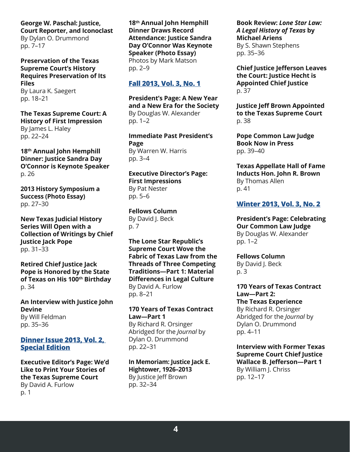**George W. Paschal: Justice, Court Reporter, and Iconoclast** By Dylan O. Drummond pp. 7–17

**Preservation of the Texas Supreme Court's History Requires Preservation of Its Files** By Laura K. Saegert pp. 18–21

**The Texas Supreme Court: A History of First Impression** By James L. Haley pp. 22–24

**18th Annual John Hemphill Dinner: Justice Sandra Day O'Connor is Keynote Speaker** p. 26

**2013 History Symposium a Success (Photo Essay)** pp. 27–30

**New Texas Judicial History Series Will Open with a Collection of Writings by Chief Justice Jack Pope** pp. 31–33

**Retired Chief Justice Jack Pope is Honored by the State of Texas on His 100th Birthday** p. 34

**An Interview with Justice John Devine** By Will Feldman pp. 35–36

#### **[Dinner Issue 2013, Vol. 2,](https://www.texascourthistory.org/Content/Newsletters//TSCHS_Journal_Dinner_2013.pdf)  [Special Edition](https://www.texascourthistory.org/Content/Newsletters//TSCHS_Journal_Dinner_2013.pdf)**

**Executive Editor's Page: We'd Like to Print Your Stories of the Texas Supreme Court** By David A. Furlow p. 1

**18th Annual John Hemphill Dinner Draws Record Attendance: Justice Sandra Day O'Connor Was Keynote Speaker (Photo Essay)** Photos by Mark Matson pp. 2–9

# **[Fall 2013, Vol. 3, No. 1](https://www.texascourthistory.org/Content/Newsletters//TSCHS_Journal_Fall_2013.pdf)**

**President's Page: A New Year and a New Era for the Society** By Douglas W. Alexander pp. 1–2

**Immediate Past President's Page** By Warren W. Harris pp. 3–4

**Executive Director's Page: First Impressions** By Pat Nester pp. 5–6

**Fellows Column** By David J. Beck p. 7

**The Lone Star Republic's Supreme Court Wove the Fabric of Texas Law from the Threads of Three Competing Traditions—Part 1: Material Differences in Legal Culture** By David A. Furlow pp. 8–21

**170 Years of Texas Contract Law—Part 1** By Richard R. Orsinger Abridged for the *Journal* by Dylan O. Drummond pp. 22–31

**In Memoriam: Justice Jack E. Hightower, 1926–2013** By Justice Jeff Brown pp. 32–34

**Book Review:** *Lone Star Law: A Legal History of Texas* **by Michael Ariens** By S. Shawn Stephens pp. 35–36

**Chief Justice Jefferson Leaves the Court: Justice Hecht is Appointed Chief Justice** p. 37

**Justice Jeff Brown Appointed to the Texas Supreme Court** p. 38

**Pope Common Law Judge Book Now in Press** pp. 39–40

**Texas Appellate Hall of Fame Inducts Hon. John R. Brown** By Thomas Allen p. 41

## **[Winter 2013, Vol. 3, No. 2](https://www.texascourthistory.org/Content/Newsletters//TSCHS_Journal_Winter_2013.pdf)**

**President's Page: Celebrating Our Common Law Judge** By Douglas W. Alexander pp. 1–2

**Fellows Column** By David J. Beck p. 3

**170 Years of Texas Contract Law—Part 2: The Texas Experience** By Richard R. Orsinger Abridged for the *Journal* by Dylan O. Drummond pp. 4–11

**Interview with Former Texas Supreme Court Chief Justice Wallace B. Jefferson—Part 1** By William J. Chriss pp. 12–17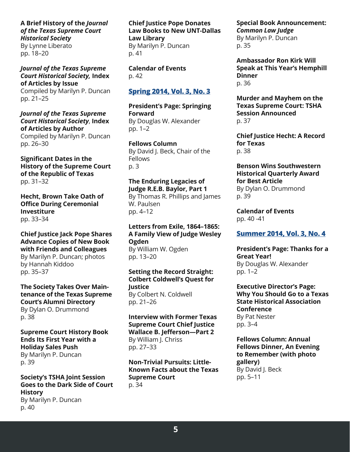## **A Brief History of the** *Journal of the Texas Supreme Court Historical Society*

By Lynne Liberato pp. 18–20

*Journal of the Texas Supreme Court Historical Society,* **Index of Articles by Issue**

Compiled by Marilyn P. Duncan pp. 21–25

*Journal of the Texas Supreme Court Historical Society*, **Index of Articles by Author** Compiled by Marilyn P. Duncan pp. 26–30

**Significant Dates in the History of the Supreme Court of the Republic of Texas** pp. 31–32

**Hecht, Brown Take Oath of Office During Ceremonial Investiture** pp. 33–34

**Chief Justice Jack Pope Shares Advance Copies of New Book with Friends and Colleagues**

By Marilyn P. Duncan; photos by Hannah Kiddoo pp. 35–37

**The Society Takes Over Maintenance of the Texas Supreme Court's Alumni Directory** By Dylan O. Drummond p. 38

**Supreme Court History Book Ends Its First Year with a Holiday Sales Push** By Marilyn P. Duncan

p. 39

**Society's TSHA Joint Session Goes to the Dark Side of Court History** By Marilyn P. Duncan p. 40

**Chief Justice Pope Donates Law Books to New UNT-Dallas Law Library** By Marilyn P. Duncan p. 41

**Calendar of Events** p. 42

## **[Spring 2014, Vol. 3, No. 3](https://www.texascourthistory.org/Content/Newsletters//TSCHS_Journal_Spring_20141.pdf)**

**President's Page: Springing Forward** By Douglas W. Alexander pp. 1–2

**Fellows Column** By David J. Beck, Chair of the **Fellows** p. 3

**The Enduring Legacies of Judge R.E.B. Baylor, Part 1**

By Thomas R. Phillips and James W. Paulsen pp. 4–12

**Letters from Exile, 1864–1865: A Family View of Judge Wesley Ogden** By William W. Ogden pp. 13–20

**Setting the Record Straight: Colbert Coldwell's Quest for Justice** By Colbert N. Coldwell pp. 21–26

**Interview with Former Texas Supreme Court Chief Justice Wallace B. Jefferson—Part 2** By William J. Chriss pp. 27–33

**Non-Trivial Pursuits: Little-Known Facts about the Texas Supreme Court** p. 34

**Special Book Announcement:**  *Common Law Judge* By Marilyn P. Duncan p. 35

**Ambassador Ron Kirk Will Speak at This Year's Hemphill Dinner** p. 36

**Murder and Mayhem on the Texas Supreme Court: TSHA Session Announced** p. 37

**Chief Justice Hecht: A Record for Texas** p. 38

**Benson Wins Southwestern Historical Quarterly Award for Best Article**

By Dylan O. Drummond p. 39

**Calendar of Events** pp. 40 -41

## **[Summer 2014, Vol. 3, No. 4](https://www.texascourthistory.org/Content/Newsletters//TSCHS_Journal_Summer_2014.pdf)**

**President's Page: Thanks for a Great Year!** By Douglas W. Alexander pp. 1–2

**Executive Director's Page: Why You Should Go to a Texas State Historical Association Conference** By Pat Nester pp. 3–4

**Fellows Column: Annual Fellows Dinner, An Evening to Remember (with photo gallery)** By David J. Beck pp. 5–11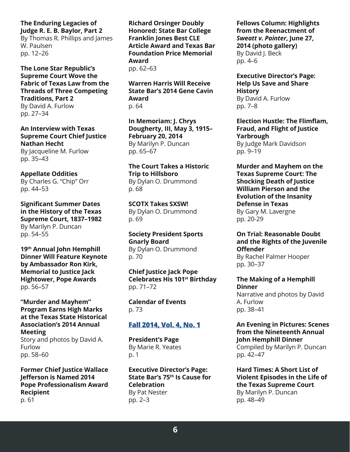#### **The Enduring Legacies of Judge R. E. B. Baylor, Part 2**

By Thomas R. Phillips and James W. Paulsen pp. 12–26

**The Lone Star Republic's Supreme Court Wove the Fabric of Texas Law from the Threads of Three Competing Traditions, Part 2** By David A. Furlow

pp. 27–34

**An Interview with Texas Supreme Court Chief Justice Nathan Hecht** By Jacqueline M. Furlow pp. 35–43

#### **Appellate Oddities**

By Charles G. "Chip" Orr pp. 44–53

**Significant Summer Dates in the History of the Texas Supreme Court, 1837–1982** By Marilyn P. Duncan pp. 54–55

**19th Annual John Hemphill Dinner Will Feature Keynote by Ambassador Ron Kirk, Memorial to Justice Jack Hightower, Pope Awards** pp. 56–57

#### **"Murder and Mayhem" Program Earns High Marks at the Texas State Historical Association's 2014 Annual Meeting**

Story and photos by David A. Furlow pp. 58–60

**Former Chief Justice Wallace Jefferson is Named 2014 Pope Professionalism Award Recipient** p. 61

**Richard Orsinger Doubly Honored: State Bar College Franklin Jones Best CLE Article Award and Texas Bar Foundation Price Memorial Award** pp. 62–63

**Warren Harris Will Receive State Bar's 2014 Gene Cavin Award** p. 64

**In Memoriam: J. Chrys Dougherty, III, May 3, 1915– February 20, 2014** By Marilyn P. Duncan pp. 65–67

**The Court Takes a Historic Trip to Hillsboro** By Dylan O. Drummond p. 68

**SCOTX Takes SXSW!** By Dylan O. Drummond p. 69

**Society President Sports Gnarly Board** By Dylan O. Drummond p. 70

**Chief Justice Jack Pope Celebrates His 101st Birthday** pp. 71–72

**Calendar of Events** p. 73

# **[Fall 2014, Vol. 4, No. 1](https://www.texascourthistory.org/Content/Newsletters//TSCHS_Journal_Fall2014.pdf)**

**President's Page** By Marie R. Yeates p. 1

**Executive Director's Page: State Bar's 75th Is Cause for Celebration** By Pat Nester pp. 2–3

**Fellows Column: Highlights from the Reenactment of**  *Sweatt v. Painter***, June 27, 2014 (photo gallery)** By David J. Beck pp. 4–6

**Executive Director's Page: Help Us Save and Share History** By David A. Furlow pp. 7–8

**Election Hustle: The Flimflam, Fraud, and Flight of Justice Yarbrough** By Judge Mark Davidson pp. 9–19

**Murder and Mayhem on the Texas Supreme Court: The Shocking Death of Justice William Pierson and the Evolution of the Insanity Defense in Texas** By Gary M. Lavergne pp. 20-29

#### **On Trial: Reasonable Doubt and the Rights of the Juvenile Offender**

By Rachel Palmer Hooper pp. 30–37

#### **The Making of a Hemphill Dinner** Narrative and photos by David

A. Furlow pp. 38–41

# **An Evening in Pictures: Scenes from the Nineteenth Annual John Hemphill Dinner**

Compiled by Marilyn P. Duncan pp. 42–47

**Hard Times: A Short List of Violent Episodes in the Life of the Texas Supreme Court** By Marilyn P. Duncan pp. 48–49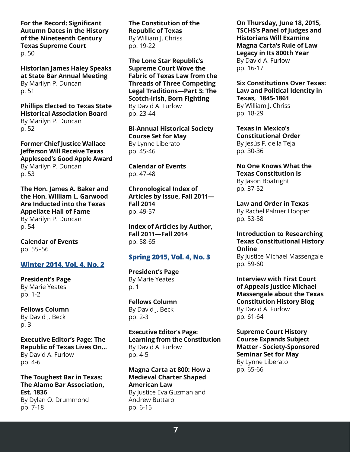**For the Record: Significant Autumn Dates in the History of the Nineteenth Century Texas Supreme Court** p. 50

**Historian James Haley Speaks at State Bar Annual Meeting** By Marilyn P. Duncan p. 51

**Phillips Elected to Texas State Historical Association Board** By Marilyn P. Duncan p. 52

**Former Chief Justice Wallace Jefferson Will Receive Texas Appleseed's Good Apple Award** By Marilyn P. Duncan p. 53

**The Hon. James A. Baker and the Hon. William L. Garwood Are Inducted into the Texas Appellate Hall of Fame** By Marilyn P. Duncan

p. 54

**Calendar of Events** pp. 55–56

## **[Winter 2014, Vol. 4, No. 2](https://www.texascourthistory.org/Content/Newsletters//TSCHS_Journal_Winter_2014.pdf)**

**President's Page** By Marie Yeates pp. 1-2

**Fellows Column** By David J. Beck p. 3

**Executive Editor's Page: The Republic of Texas Lives On...** By David A. Furlow pp. 4-6

**The Toughest Bar in Texas: The Alamo Bar Association, Est. 1836** By Dylan O. Drummond pp. 7-18

**The Constitution of the Republic of Texas** By William J. Chriss pp. 19-22

**The Lone Star Republic's Supreme Court Wove the Fabric of Texas Law from the Threads of Three Competing Legal Traditions—Part 3: The Scotch-Irish, Born Fighting** By David A. Furlow pp. 23-44

**Bi-Annual Historical Society Course Set for May** By Lynne Liberato pp. 45-46

**Calendar of Events** pp. 47-48

**Chronological Index of Articles by Issue, Fall 2011— Fall 2014** pp. 49-57

**Index of Articles by Author, Fall 2011—Fall 2014** pp. 58-65

## **[Spring 2015, Vol. 4, No. 3](https://www.texascourthistory.org/Content/Newsletters//TSCHS_Journal_Spring2015.pdf)**

**President's Page** By Marie Yeates p. 1

**Fellows Column** By David J. Beck pp. 2-3

**Executive Editor's Page: Learning from the Constitution** By David A. Furlow pp. 4-5

**Magna Carta at 800: How a Medieval Charter Shaped American Law** By Justice Eva Guzman and Andrew Buttaro pp. 6-15

**On Thursday, June 18, 2015, TSCHS's Panel of Judges and Historians Will Examine Magna Carta's Rule of Law Legacy in Its 800th Year**  By David A. Furlow pp. 16-17

**Six Constitutions Over Texas: Law and Political Identity in Texas, 1845-1861** By William J. Chriss pp. 18-29

**Texas in Mexico's Constitutional Order** By Jesús F. de la Teja pp. 30-36

**No One Knows What the Texas Constitution Is** By Jason Boatright pp. 37-52

**Law and Order in Texas** By Rachel Palmer Hooper pp. 53-58

**Introduction to Researching Texas Constitutional History Online**

By Justice Michael Massengale pp. 59-60

**Interview with First Court of Appeals Justice Michael Massengale about the Texas Constitution History Blog** By David A. Furlow pp. 61-64

**Supreme Court History Course Expands Subject Matter - Society-Sponsored Seminar Set for May** By Lynne Liberato pp. 65-66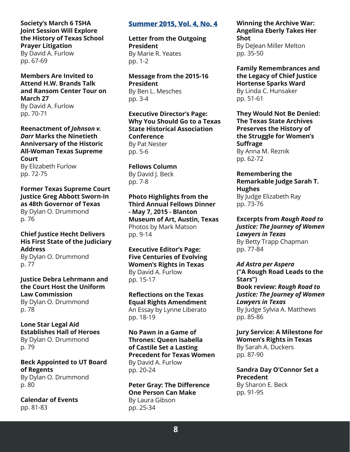## **Society's March 6 TSHA Joint Session Will Explore the History of Texas School Prayer Litigation**

By David A. Furlow pp. 67-69

**Members Are Invited to Attend H.W. Brands Talk and Ransom Center Tour on March 27** By David A. Furlow pp. 70-71

**Reenactment of** *Johnson v. Darr* **Marks the Ninetieth Anniversary of the Historic All-Woman Texas Supreme Court**

By Elizabeth Furlow pp. 72-75

**Former Texas Supreme Court Justice Greg Abbott Sworn-In as 48th Governor of Texas** By Dylan O. Drummond p. 76

#### **Chief Justice Hecht Delivers His First State of the Judiciary Address**

By Dylan O. Drummond p. 77

**Justice Debra Lehrmann and the Court Host the Uniform Law Commission** By Dylan O. Drummond p. 78

**Lone Star Legal Aid Establishes Hall of Heroes** By Dylan O. Drummond p. 79

**Beck Appointed to UT Board of Regents** By Dylan O. Drummond p. 80

**Calendar of Events** pp. 81-83

## **[Summer 2015, Vol. 4, No. 4](https://www.texascourthistory.org/Content/Newsletters//TSCHS%20Journal%20Summer%202015.pdf)**

**Letter from the Outgoing President** By Marie R. Yeates pp. 1-2

**Message from the 2015-16 President** By Ben L. Mesches pp. 3-4

**Executive Director's Page: Why You Should Go to a Texas State Historical Association Conference** By Pat Nester pp. 5-6

**Fellows Column** By David I. Beck pp. 7-8

**Photo Highlights from the Third Annual Fellows Dinner - May 7, 2015 - Blanton Museum of Art, Austin, Texas** Photos by Mark Matson pp. 9-14

**Executive Editor's Page: Five Centuries of Evolving Women's Rights in Texas** By David A. Furlow pp. 15-17

**Reflections on the Texas Equal Rights Amendment** An Essay by Lynne Liberato pp. 18-19

**No Pawn in a Game of Thrones: Queen Isabella of Castile Set a Lasting Precedent for Texas Women** By David A. Furlow pp. 20-24

**Peter Gray: The Difference One Person Can Make** By Laura Gibson pp. 25-34

#### **Winning the Archive War: Angelina Eberly Takes Her Shot** By DeJean Miller Melton

pp. 35-50

**Family Remembrances and the Legacy of Chief Justice Hortense Sparks Ward** By Linda C. Hunsaker pp. 51-61

**They Would Not Be Denied: The Texas State Archives Preserves the History of the Struggle for Women's Suffrage** By Anna M. Reznik pp. 62-72

**Remembering the Remarkable Judge Sarah T. Hughes** By Judge Elizabeth Ray

pp. 73-76

**Excerpts from** *Rough Road to Justice: The Journey of Women Lawyers in Texas* By Betty Trapp Chapman pp. 77-84

*Ad Astra per Aspera* **("A Rough Road Leads to the Stars") Book review:** *Rough Road to Justice: The Journey of Women Lawyers in Texas* By Judge Sylvia A. Matthews pp. 85-86

**Jury Service: A Milestone for Women's Rights in Texas** By Sarah A. Duckers pp. 87-90

**Sandra Day O'Connor Set a Precedent** By Sharon E. Beck pp. 91-95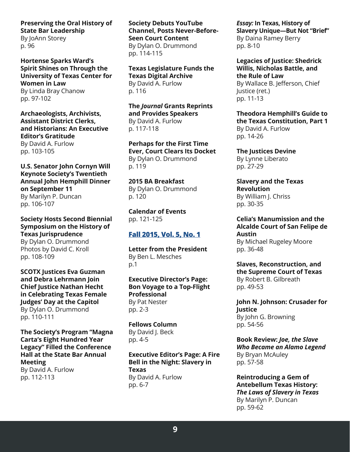# **Preserving the Oral History of State Bar Leadership**

By JoAnn Storey p. 96

**Hortense Sparks Ward's Spirit Shines on Through the University of Texas Center for Women in Law** By Linda Bray Chanow pp. 97-102

**Archaeologists, Archivists, Assistant District Clerks, and Historians: An Executive Editor's Gratitude**

By David A. Furlow pp. 103-105

#### **U.S. Senator John Cornyn Will Keynote Society's Twentieth Annual John Hemphill Dinner on September 11**

By Marilyn P. Duncan pp. 106-107

**Society Hosts Second Biennial Symposium on the History of Texas Jurisprudence** By Dylan O. Drummond

Photos by David C. Kroll pp. 108-109

**SCOTX Justices Eva Guzman and Debra Lehrmann Join Chief Justice Nathan Hecht in Celebrating Texas Female Judges' Day at the Capitol** By Dylan O. Drummond pp. 110-111

## **The Society's Program "Magna Carta's Eight Hundred Year Legacy" Filled the Conference Hall at the State Bar Annual Meeting**

By David A. Furlow pp. 112-113

**Society Debuts YouTube Channel, Posts Never-Before-Seen Court Content** By Dylan O. Drummond pp. 114-115

**Texas Legislature Funds the Texas Digital Archive** By David A. Furlow p. 116

**The** *Journal* **Grants Reprints and Provides Speakers** By David A. Furlow p. 117-118

**Perhaps for the First Time Ever, Court Clears Its Docket** By Dylan O. Drummond p. 119

**2015 BA Breakfast** By Dylan O. Drummond p. 120

**Calendar of Events** pp. 121-125

# **[Fall 2015, Vol. 5, No. 1](https://www.texascourthistory.org/Content/Newsletters//TSCHS%20Journal%20Fall%202015.pdf)**

**Letter from the President** By Ben L. Mesches p.1

**Executive Director's Page: Bon Voyage to a Top-Flight Professional** By Pat Nester pp. 2-3

**Fellows Column** By David J. Beck pp. 4-5

**Executive Editor's Page: A Fire Bell in the Night: Slavery in Texas** By David A. Furlow pp. 6-7

*Essay:* **In Texas, History of Slavery Unique—But Not "Brief"** By Daina Ramey Berry pp. 8-10

**Legacies of Justice: Shedrick Willis, Nicholas Battle, and the Rule of Law** By Wallace B. Jefferson, Chief Justice (ret.) pp. 11-13

**Theodora Hemphill's Guide to the Texas Constitution, Part 1** By David A. Furlow pp. 14-26

**The Justices Devine** By Lynne Liberato pp. 27-29

**Slavery and the Texas Revolution** By William J. Chriss pp. 30-35

**Celia's Manumission and the Alcalde Court of San Felipe de Austin** By Michael Rugeley Moore pp. 36-48

**Slaves, Reconstruction, and the Supreme Court of Texas** By Robert B. Gilbreath pp. 49-53

**John N. Johnson: Crusader for Justice** By John G. Browning pp. 54-56

**Book Review:** *Joe, the Slave Who Became an Alamo Legend* By Bryan McAuley pp. 57-58

**Reintroducing a Gem of Antebellum Texas History:**  *The Laws of Slavery in Texas* By Marilyn P. Duncan pp. 59-62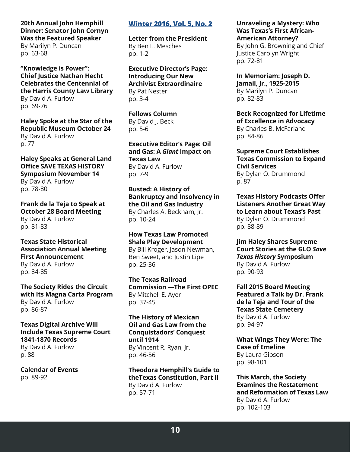# **20th Annual John Hemphill Dinner: Senator John Cornyn Was the Featured Speaker**

By Marilyn P. Duncan pp. 63-68

**"Knowledge is Power": Chief Justice Nathan Hecht Celebrates the Centennial of the Harris County Law Library** By David A. Furlow pp. 69-76

**Haley Spoke at the Star of the Republic Museum October 24** By David A. Furlow p. 77

**Haley Speaks at General Land Office SAVE TEXAS HISTORY Symposium November 14**

By David A. Furlow pp. 78-80

**Frank de la Teja to Speak at October 28 Board Meeting** By David A. Furlow pp. 81-83

**Texas State Historical Association Annual Meeting First Announcement** By David A. Furlow pp. 84-85

**The Society Rides the Circuit with Its Magna Carta Program** By David A. Furlow pp. 86-87

**Texas Digital Archive Will Include Texas Supreme Court 1841-1870 Records**

By David A. Furlow p. 88

**Calendar of Events** pp. 89-92

# **[Winter 2016, Vol. 5, No. 2](https://www.texascourthistory.org/Content/Newsletters//TSCHS_Journal_%20Winter_%202016.pdf)**

**Letter from the President** By Ben L. Mesches pp. 1-2

**Executive Director's Page: Introducing Our New Archivist Extraordinaire** By Pat Nester pp. 3-4

**Fellows Column** By David J. Beck pp. 5-6

**Executive Editor's Page: Oil and Gas: A** *Giant* **Impact on Texas Law** By David A. Furlow pp. 7-9

**Busted: A History of Bankruptcy and Insolvency in the Oil and Gas Industry** By Charles A. Beckham, Jr. pp. 10-24

**How Texas Law Promoted Shale Play Development** By Bill Kroger, Jason Newman, Ben Sweet, and Justin Lipe pp. 25-36

**The Texas Railroad Commission —The First OPEC** By Mitchell E. Ayer pp. 37-45

**The History of Mexican Oil and Gas Law from the Conquistadors' Conquest until 1914** By Vincent R. Ryan, Jr. pp. 46-56

**Theodora Hemphill's Guide to theTexas Constitution, Part II** By David A. Furlow pp. 57-71

#### **Unraveling a Mystery: Who Was Texas's First African-American Attorney?**

By John G. Browning and Chief Justice Carolyn Wright pp. 72-81

**In Memoriam: Joseph D. Jamail, Jr., 1925-2015** By Marilyn P. Duncan pp. 82-83

**Beck Recognized for Lifetime of Excellence in Advocacy** By Charles B. McFarland pp. 84-86

**Supreme Court Establishes Texas Commission to Expand Civil Services** By Dylan O. Drummond p. 87

**Texas History Podcasts Offer Listeners Another Great Way to Learn about Texas's Past** By Dylan O. Drummond pp. 88-89

**Jim Haley Shares Supreme Court Stories at the GLO** *Save Texas History* **Symposium** By David A. Furlow pp. 90-93

**Fall 2015 Board Meeting Featured a Talk by Dr. Frank de la Teja and Tour of the Texas State Cemetery** By David A. Furlow pp. 94-97

**What Wings They Were: The Case of Emeline** By Laura Gibson pp. 98-101

**This March, the Society Examines the Restatement and Reformation of Texas Law** By David A. Furlow pp. 102-103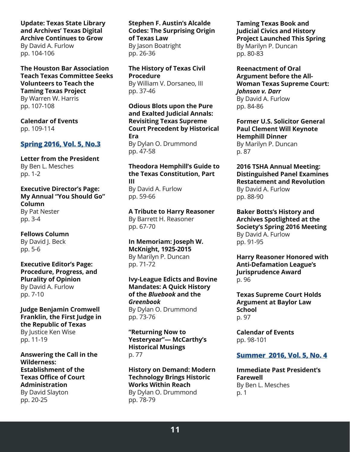## **Update: Texas State Library and Archives' Texas Digital Archive Continues to Grow**

By David A. Furlow pp. 104-106

**The Houston Bar Association Teach Texas Committee Seeks Volunteers to Teach the Taming Texas Project** By Warren W. Harris pp. 107-108

**Calendar of Events** pp. 109-114

## **[Spring 2016, Vol. 5, No.3](https://www.texascourthistory.org/Content/Newsletters//TSCHS_Journal_Spring_2016.pdf)**

**Letter from the President** By Ben L. Mesches pp. 1-2

**Executive Director's Page: My Annual "You Should Go" Column** By Pat Nester pp. 3-4

**Fellows Column** By David J. Beck pp. 5-6

**Executive Editor's Page: Procedure, Progress, and Plurality of Opinion** By David A. Furlow pp. 7-10

**Judge Benjamin Cromwell Franklin, the First Judge in the Republic of Texas** By Justice Ken Wise pp. 11-19

**Answering the Call in the Wilderness: Establishment of the Texas Office of Court Administration** By David Slayton pp. 20-25

**Stephen F. Austin's Alcalde Codes: The Surprising Origin of Texas Law** By Jason Boatright

pp. 26-36

**The History of Texas Civil Procedure** By William V. Dorsaneo, III pp. 37-46

**Odious Blots upon the Pure and Exalted Judicial Annals: Revisiting Texas Supreme Court Precedent by Historical Era** By Dylan O. Drummond pp. 47-58

#### **Theodora Hemphill's Guide to the Texas Constitution, Part III**

By David A. Furlow pp. 59-66

**A Tribute to Harry Reasoner** By Barrett H. Reasoner pp. 67-70

**In Memoriam: Joseph W. McKnight, 1925-2015** By Marilyn P. Duncan pp. 71-72

**Ivy-League Edicts and Bovine Mandates: A Quick History of the** *Bluebook* **and the**  *Greenbook* By Dylan O. Drummond pp. 73-76

**"Returning Now to Yesteryear"— McCarthy's Historical Musings** p. 77

**History on Demand: Modern Technology Brings Historic Works Within Reach** By Dylan O. Drummond pp. 78-79

**Taming Texas Book and Judicial Civics and History Project Launched This Spring** By Marilyn P. Duncan pp. 80-83

**Reenactment of Oral Argument before the All-Woman Texas Supreme Court:** *Johnson v. Darr* By David A. Furlow pp. 84-86

**Former U.S. Solicitor General Paul Clement Will Keynote Hemphill Dinner** By Marilyn P. Duncan p. 87

**2016 TSHA Annual Meeting: Distinguished Panel Examines Restatement and Revolution** By David A. Furlow pp. 88-90

**Baker Botts's History and Archives Spotlighted at the Society's Spring 2016 Meeting** By David A. Furlow pp. 91-95

**Harry Reasoner Honored with Anti-Defamation League's Jurisprudence Award** p. 96

**Texas Supreme Court Holds Argument at Baylor Law School** p. 97

**Calendar of Events** pp. 98-101

## **[Summer 2016, Vol. 5, No. 4](https://www.texascourthistory.org/Content/Newsletters//TSCHS%20Journal%20Summer%202016%20Vol%205%20No%204.pdf)**

**Immediate Past President's Farewell** By Ben L. Mesches p. 1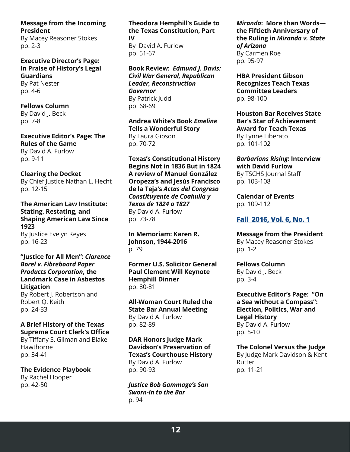**Message from the Incoming President**

By Macey Reasoner Stokes pp. 2-3

**Executive Director's Page: In Praise of History's Legal Guardians** By Pat Nester pp. 4-6

**Fellows Column** By David I. Beck pp. 7-8

**Executive Editor's Page: The Rules of the Game** By David A. Furlow pp. 9-11

**Clearing the Docket** By Chief Justice Nathan L. Hecht pp. 12-15

**The American Law Institute: Stating, Restating, and Shaping American Law Since 1923** By Justice Evelyn Keyes pp. 16-23

**"Justice for All Men":** *Clarence Borel v. Fibreboard Paper Products Corporation***, the Landmark Case in Asbestos Litigation**

By Robert J. Robertson and Robert Q. Keith pp. 24-33

## **A Brief History of the Texas Supreme Court Clerk's Office**

By Tiffany S. Gilman and Blake Hawthorne pp. 34-41

**The Evidence Playbook** By Rachel Hooper pp. 42-50

# **Theodora Hemphill's Guide to the Texas Constitution, Part**

**IV** By David A. Furlow pp. 51-67

**Book Review:** *Edmund J. Davis: Civil War General, Republican Leader, Reconstruction Governor* By Patrick Judd pp. 68-69

**Andrea White's Book** *Emeline* **Tells a Wonderful Story** By Laura Gibson pp. 70-72

**Texas's Constitutional History Begins Not in 1836 But in 1824 A review of Manuel González Oropeza's and Jesús Francisco de la Teja's** *Actas del Congreso Constituyente de Coahuila y Texas de 1824 a 1827*  By David A. Furlow pp. 73-78

**In Memoriam: Karen R. Johnson, 1944-2016** p. 79

**Former U.S. Solicitor General Paul Clement Will Keynote Hemphill Dinner** pp. 80-81

**All-Woman Court Ruled the State Bar Annual Meeting** By David A. Furlow pp. 82-89

**DAR Honors Judge Mark Davidson's Preservation of Texas's Courthouse History** By David A. Furlow pp. 90-93

*Justice Bob Gammage's Son Sworn-In to the Bar* p. 94

*Miranda***: More than Words the Fiftieth Anniversary of the Ruling in** *Miranda v. State of Arizona* By Carmen Roe pp. 95-97

**HBA President Gibson Recognizes Teach Texas Committee Leaders**  pp. 98-100

**Houston Bar Receives State Bar's Star of Achievement Award for Teach Texas** By Lynne Liberato pp. 101-102

*Barbarians Rising***: Interview with David Furlow** By TSCHS Journal Staff pp. 103-108

**Calendar of Events** pp. 109-112

# **[Fall 2016, Vol. 6, No. 1](https://www.texascourthistory.org/Content/Newsletters//TSCHS_Fall_2016.pdf)**

**Message from the President** By Macey Reasoner Stokes pp. 1-2

**Fellows Column**

By David J. Beck pp. 3-4

**Executive Editor's Page: "On a Sea without a Compass": Election, Politics, War and Legal History** By David A. Furlow pp. 5-10

**The Colonel Versus the Judge** By Judge Mark Davidson & Kent Rutter pp. 11-21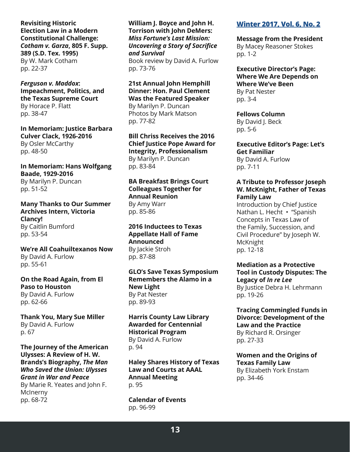**Revisiting Historic Election Law in a Modern Constitutional Challenge:**  *Cotham v. Garza***, 805 F. Supp. 389 (S.D. Tex. 1995)** By W. Mark Cotham pp. 22-37

*Ferguson v. Maddox***: Impeachment, Politics, and the Texas Supreme Court** By Horace P. Flatt pp. 38-47

**In Memoriam: Justice Barbara Culver Clack, 1926-2016** By Osler McCarthy pp. 48-50

**In Memoriam: Hans Wolfgang Baade, 1929-2016** By Marilyn P. Duncan pp. 51-52

**Many Thanks to Our Summer Archives Intern, Victoria Clancy!** By Caitlin Bumford pp. 53-54

**We're All Coahuiltexanos Now** By David A. Furlow pp. 55-61

**On the Road Again, from El Paso to Houston** By David A. Furlow pp. 62-66

**Thank You, Mary Sue Miller** By David A. Furlow p. 67

**The Journey of the American Ulysses: A Review of H. W. Brands's Biography,** *The Man Who Saved the Union: Ulysses Grant in War and Peace* By Marie R. Yeates and John F. McInerny pp. 68-72

**William J. Boyce and John H. Torrison with John DeMers:**  *Miss Fortune's Last Mission: Uncovering a Story of Sacrifice and Survival* Book review by David A. Furlow pp. 73-76

**21st Annual John Hemphill Dinner: Hon. Paul Clement Was the Featured Speaker** By Marilyn P. Duncan Photos by Mark Matson pp. 77-82

**Bill Chriss Receives the 2016 Chief Justice Pope Award for Integrity, Professionalism** By Marilyn P. Duncan pp. 83-84

**BA Breakfast Brings Court Colleagues Together for Annual Reunion** By Amy Warr pp. 85-86

**2016 Inductees to Texas Appellate Hall of Fame Announced** By Jackie Stroh pp. 87-88

**GLO's Save Texas Symposium Remembers the Alamo in a New Light** By Pat Nester pp. 89-93

**Harris County Law Library Awarded for Centennial Historical Program** By David A. Furlow p. 94

**Haley Shares History of Texas Law and Courts at AAAL Annual Meeting** p. 95

**Calendar of Events** pp. 96-99

# **[Winter 2017, Vol. 6, No. 2](https://www.texascourthistory.org/Content/Newsletters//TSCHS_Winter_13117.pdf)**

**Message from the President** By Macey Reasoner Stokes pp. 1-2

**Executive Director's Page: Where We Are Depends on Where We've Been** By Pat Nester pp. 3-4

**Fellows Column** By David J. Beck pp. 5-6

**Executive Editor's Page: Let's Get Familiar** By David A. Furlow pp. 7-11

#### **A Tribute to Professor Joseph W. McKnight, Father of Texas Family Law**

Introduction by Chief Justice Nathan L. Hecht • "Spanish Concepts in Texas Law of the Family, Succession, and Civil Procedure" by Joseph W. McKnight pp. 12-18

**Mediation as a Protective Tool in Custody Disputes: The Legacy of** *In re Lee* By Justice Debra H. Lehrmann pp. 19-26

**Tracing Commingled Funds in Divorce: Development of the Law and the Practice** By Richard R. Orsinger pp. 27-33

**Women and the Origins of Texas Family Law** By Elizabeth York Enstam pp. 34-46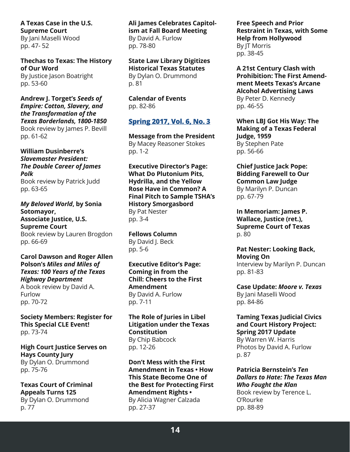**A Texas Case in the U.S. Supreme Court** By Jani Maselli Wood pp. 47- 52

**Thechas to Texas: The History of Our Word** By Justice Jason Boatright pp. 53-60

**Andrew J. Torget's** *Seeds of Empire: Cotton, Slavery, and the Transformation of the Texas Borderlands, 1800-1850* Book review by James P. Bevill pp. 61-62

**William Dusinberre's** *Slavemaster President: The Double Career of James Polk* Book review by Patrick Judd

pp. 63-65

*My Beloved World***, by Sonia Sotomayor, Associate Justice, U.S. Supreme Court** Book review by Lauren Brogdon pp. 66-69

**Carol Dawson and Roger Allen Polson's** *Miles and Miles of Texas: 100 Years of the Texas Highway Department* A book review by David A.

Furlow pp. 70-72

**Society Members: Register for This Special CLE Event!** pp. 73-74

**High Court Justice Serves on Hays County Jury** By Dylan O. Drummond pp. 75-76

**Texas Court of Criminal Appeals Turns 125** By Dylan O. Drummond p. 77

**Ali James Celebrates Capitolism at Fall Board Meeting** By David A. Furlow pp. 78-80

**State Law Library Digitizes Historical Texas Statutes** By Dylan O. Drummond p. 81

**Calendar of Events** pp. 82-86

## **[Spring 2017, Vol. 6, No. 3](https://www.texascourthistory.org/Content/Newsletters//TSCHS%20Spring%202017%20Vol%206%20No%203.pdf)**

**Message from the President** By Macey Reasoner Stokes pp. 1-2

**Executive Director's Page: What Do Plutonium Pits, Hydrilla, and the Yellow Rose Have in Common? A Final Pitch to Sample TSHA's History Smorgasbord** By Pat Nester pp. 3-4

**Fellows Column** By David J. Beck pp. 5-6

**Executive Editor's Page: Coming in from the Chill: Cheers to the First Amendment** By David A. Furlow pp. 7-11

**The Role of Juries in Libel Litigation under the Texas Constitution** By Chip Babcock pp. 12-26

**Don't Mess with the First Amendment in Texas • How This State Become One of the Best for Protecting First Amendment Rights •** By Alicia Wagner Calzada pp. 27-37

**Free Speech and Prior Restraint in Texas, with Some Help from Hollywood** By JT Morris

pp. 38-45

**A 21st Century Clash with Prohibition: The First Amendment Meets Texas's Arcane Alcohol Advertising Laws** By Peter D. Kennedy pp. 46-55

**When LBJ Got His Way: The Making of a Texas Federal Judge, 1959** By Stephen Pate pp. 56-66

**Chief Justice Jack Pope: Bidding Farewell to Our Common Law Judge** By Marilyn P. Duncan pp. 67-79

**In Memoriam: James P. Wallace, Justice (ret.), Supreme Court of Texas** p. 80

**Pat Nester: Looking Back, Moving On** Interview by Marilyn P. Duncan pp. 81-83

**Case Update:** *Moore v. Texas* By Jani Maselli Wood pp. 84-86

**Taming Texas Judicial Civics and Court History Project: Spring 2017 Update** By Warren W. Harris

Photos by David A. Furlow p. 87

**Patricia Bernstein's** *Ten Dollars to Hate: The Texas Man Who Fought the Klan* Book review by Terence L.

O'Rourke pp. 88-89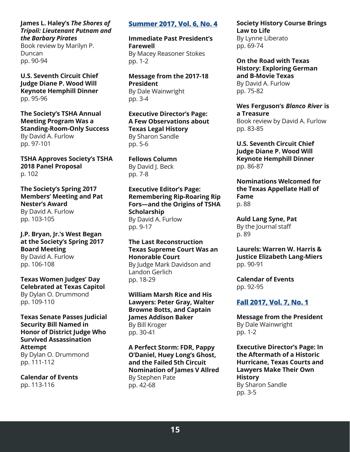## **James L. Haley's** *The Shores of Tripoli: Lieutenant Putnam and the Barbary Pirates*

Book review by Marilyn P. Duncan pp. 90-94

**U.S. Seventh Circuit Chief Judge Diane P. Wood Will Keynote Hemphill Dinner** pp. 95-96

**The Society's TSHA Annual Meeting Program Was a Standing-Room-Only Success** By David A. Furlow pp. 97-101

**TSHA Approves Society's TSHA 2018 Panel Proposal** p. 102

**The Society's Spring 2017 Members' Meeting and Pat Nester's Award** By David A. Furlow pp. 103-105

## **J.P. Bryan, Jr.'s West Began at the Society's Spring 2017 Board Meeting**

By David A. Furlow pp. 106-108

#### **Texas Women Judges' Day Celebrated at Texas Capitol** By Dylan O. Drummond pp. 109-110

**Texas Senate Passes Judicial Security Bill Named in Honor of District Judge Who Survived Assassination Attempt** By Dylan O. Drummond pp. 111-112

**Calendar of Events** pp. 113-116

## **[Summer 2017, Vol. 6, No. 4](https://www.texascourthistory.org/Content/Newsletters//TSCHS%20Summer%202017%20Vol%206%20No%204.pdf)**

**Immediate Past President's Farewell** By Macey Reasoner Stokes pp. 1-2

**Message from the 2017-18 President** By Dale Wainwright pp. 3-4

**Executive Director's Page: A Few Observations about Texas Legal History** By Sharon Sandle pp. 5-6

**Fellows Column** By David J. Beck pp. 7-8

**Executive Editor's Page: Remembering Rip-Roaring Rip Fors—and the Origins of TSHA Scholarship** By David A. Furlow pp. 9-17

#### **The Last Reconstruction Texas Supreme Court Was an Honorable Court** By Judge Mark Davidson and

Landon Gerlich pp. 18-29

**William Marsh Rice and His Lawyers: Peter Gray, Walter Browne Botts, and Captain James Addison Baker** By Bill Kroger pp. 30-41

**A Perfect Storm: FDR, Pappy O'Daniel, Huey Long's Ghost, and the Failed 5th Circuit Nomination of James V Allred** By Stephen Pate pp. 42-68

**Society History Course Brings Law to Life** By Lynne Liberato pp. 69-74

**On the Road with Texas History: Exploring German and B-Movie Texas** By David A. Furlow pp. 75-82

**Wes Ferguson's** *Blanco River* **is a Treasure**

Book review by David A. Furlow pp. 83-85

**U.S. Seventh Circuit Chief Judge Diane P. Wood Will Keynote Hemphill Dinner** pp. 86-87

**Nominations Welcomed for the Texas Appellate Hall of Fame** p. 88

**Auld Lang Syne, Pat** By the Journal staff p. 89

**Laurels: Warren W. Harris & Justice Elizabeth Lang-Miers** pp. 90-91

**Calendar of Events** pp. 92-95

## **[Fall 2017, Vol. 7, No. 1](https://www.texascourthistory.org/Content/Newsletters//TSCHS%20Journal%20Vol_7%20No_1final.pdf)**

**Message from the President** By Dale Wainwright pp. 1-2

**Executive Director's Page: In the Aftermath of a Historic Hurricane, Texas Courts and Lawyers Make Their Own History** By Sharon Sandle pp. 3-5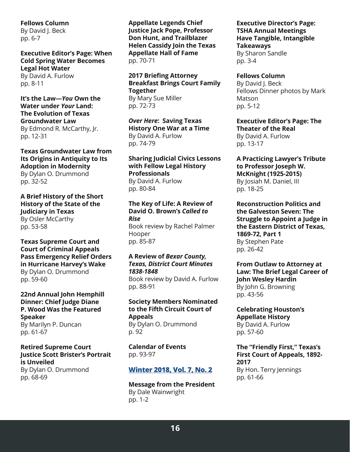**Fellows Column** By David J. Beck

pp. 6-7

**Executive Editor's Page: When Cold Spring Water Becomes Legal Hot Water** By David A. Furlow

pp. 8-11

**It's the Law—***You* **Own the Water under** *Your* **Land: The Evolution of Texas Groundwater Law** By Edmond R. McCarthy, Jr. pp. 12-31

**Texas Groundwater Law from Its Origins in Antiquity to Its Adoption in Modernity** By Dylan O. Drummond pp. 32-52

**A Brief History of the Short History of the State of the Judiciary in Texas** By Osler McCarthy pp. 53-58

**Texas Supreme Court and Court of Criminal Appeals Pass Emergency Relief Orders in Hurricane Harvey's Wake** By Dylan O. Drummond pp. 59-60

**22nd Annual John Hemphill Dinner: Chief Judge Diane P. Wood Was the Featured Speaker** By Marilyn P. Duncan pp. 61-67

#### **Retired Supreme Court Justice Scott Brister's Portrait is Unveiled**

By Dylan O. Drummond pp. 68-69

**Appellate Legends Chief Justice Jack Pope, Professor Don Hunt, and Trailblazer Helen Cassidy Join the Texas Appellate Hall of Fame** pp. 70-71

**2017 Briefing Attorney Breakfast Brings Court Family Together** By Mary Sue Miller pp. 72-73

*Over Here***: Saving Texas History One War at a Time** By David A. Furlow pp. 74-79

**Sharing Judicial Civics Lessons with Fellow Legal History Professionals** By David A. Furlow

pp. 80-84

#### **The Key of Life: A Review of David O. Brown's** *Called to Rise*

Book review by Rachel Palmer Hooper pp. 85-87

### **A Review of** *Bexar County, Texas, District Court Minutes 1838-1848*

Book review by David A. Furlow pp. 88-91

#### **Society Members Nominated to the Fifth Circuit Court of Appeals** By Dylan O. Drummond

p. 92

**Calendar of Events** pp. 93-97

# **[Winter 2018, Vol. 7, No. 2](https://www.texascourthistory.org/Content/Newsletters//Final%20Journal%20Winter%202018%20Vol%207%20No%202.pdf)**

**Message from the President** By Dale Wainwright pp. 1-2

## **Executive Director's Page: TSHA Annual Meetings Have Tangible, Intangible Takeaways** By Sharon Sandle

pp. 3-4

## **Fellows Column**

By David J. Beck Fellows Dinner photos by Mark Matson pp. 5-12

**Executive Editor's Page: The Theater of the Real** By David A. Furlow pp. 13-17

**A Practicing Lawyer's Tribute to Professor Joseph W. McKnight (1925-2015)** By Josiah M. Daniel, III

pp. 18-25

**Reconstruction Politics and the Galveston Seven: The Struggle to Appoint a Judge in the Eastern District of Texas, 1869-72, Part 1** By Stephen Pate pp. 26-42

**From Outlaw to Attorney at Law: The Brief Legal Career of John Wesley Hardin** By John G. Browning pp. 43-56

**Celebrating Houston's Appellate History** By David A. Furlow pp. 57-60

#### **The "Friendly First," Texas's First Court of Appeals, 1892- 2017** By Hon. Terry Jennings pp. 61-66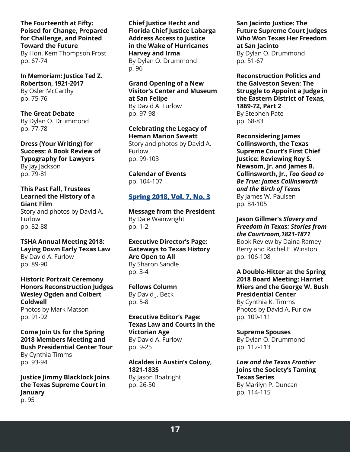**The Fourteenth at Fifty: Poised for Change, Prepared for Challenge, and Pointed Toward the Future**

By Hon. Kem Thompson Frost pp. 67-74

**In Memoriam: Justice Ted Z. Robertson, 1921-2017** By Osler McCarthy pp. 75-76

**The Great Debate** By Dylan O. Drummond pp. 77-78

**Dress (Your Writing) for Success: A Book Review of Typography for Lawyers** By Jay Jackson pp. 79-81

**This Past Fall, Trustees Learned the History of a Giant Film** Story and photos by David A. Furlow pp. 82-88

**TSHA Annual Meeting 2018: Laying Down Early Texas Law** By David A. Furlow pp. 89-90

**Historic Portrait Ceremony Honors Reconstruction Judges Wesley Ogden and Colbert Coldwell** Photos by Mark Matson pp. 91-92

**Come Join Us for the Spring 2018 Members Meeting and Bush Presidential Center Tour** By Cynthia Timms pp. 93-94

**Justice Jimmy Blacklock Joins the Texas Supreme Court in January** p. 95

**Chief Justice Hecht and Florida Chief Justice Labarga Address Access to Justice in the Wake of Hurricanes Harvey and Irma** By Dylan O. Drummond p. 96

**Grand Opening of a New Visitor's Center and Museum at San Felipe** By David A. Furlow pp. 97-98

**Celebrating the Legacy of Heman Marion Sweatt** Story and photos by David A. Furlow pp. 99-103

**Calendar of Events** pp. 104-107

## **[Spring 2018, Vol. 7, No. 3](https://www.texascourthistory.org/Content/Newsletters//TSCHS%20Journal%20Spring%202018.pdf)**

**Message from the President** By Dale Wainwright pp. 1-2

**Executive Director's Page: Gateways to Texas History Are Open to All** By Sharon Sandle pp. 3-4

**Fellows Column** By David J. Beck pp. 5-8

**Executive Editor's Page: Texas Law and Courts in the Victorian Age** By David A. Furlow pp. 9-25

**Alcaldes in Austin's Colony, 1821-1835** By Jason Boatright pp. 26-50

**San Jacinto Justice: The Future Supreme Court Judges Who Won Texas Her Freedom at San Jacinto** By Dylan O. Drummond

pp. 51-67

**Reconstruction Politics and the Galveston Seven: The Struggle to Appoint a Judge in the Eastern District of Texas, 1869-72, Part 2** By Stephen Pate pp. 68-83

**Reconsidering James Collinsworth, the Texas Supreme Court's First Chief Justice: Reviewing Roy S. Newsom, Jr. and James B. Collinsworth, Jr.,** *Too Good to Be True: James Collinsworth and the Birth of Texas* By James W. Paulsen pp. 84-105

**Jason Gillmer's** *Slavery and Freedom in Texas: Stories from the Courtroom,1821-1871* Book Review by Daina Ramey Berry and Rachel E. Winston pp. 106-108

**A Double-Hitter at the Spring 2018 Board Meeting: Harriet Miers and the George W. Bush Presidential Center** By Cynthia K. Timms Photos by David A. Furlow pp. 109-111

**Supreme Spouses** By Dylan O. Drummond pp. 112-113

*Law and the Texas Frontier* **Joins the Society's Taming Texas Series** By Marilyn P. Duncan pp. 114-115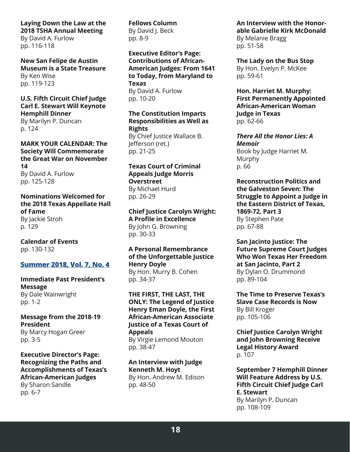# **Laying Down the Law at the 2018 TSHA Annual Meeting**

By David A. Furlow pp. 116-118

**New San Felipe de Austin Museum is a State Treasure** By Ken Wise pp. 119-123

## **U.S. Fifth Circuit Chief Judge Carl E. Stewart Will Keynote Hemphill Dinner**

By Marilyn P. Duncan p. 124

#### **MARK YOUR CALENDAR: The Society Will Commemorate the Great War on November 14** By David A. Furlow pp. 125-128

#### **Nominations Welcomed for the 2018 Texas Appellate Hall of Fame** By Jackie Stroh p. 129

**Calendar of Events** pp. 130-132

# **[Summer 2018, Vol. 7, No. 4](https://www.texascourthistory.org/Content/Newsletters//TSCHS%20Summer%202018.pdf)**

#### **Immediate Past President's Message** By Dale Wainwright pp. 1-2

**Message from the 2018-19 President**

By Marcy Hogan Greer pp. 3-5

#### **Executive Director's Page: Recognizing the Paths and Accomplishments of Texas's African-American Judges** By Sharon Sandle pp. 6-7

**Fellows Column** By David J. Beck pp. 8-9

**Executive Editor's Page: Contributions of African-American Judges: From 1641 to Today, from Maryland to Texas** By David A. Furlow pp. 10-20

**The Constitution Imparts Responsibilities as Well as Rights** By Chief Justice Wallace B. Jefferson (ret.) pp. 21-25

#### **Texas Court of Criminal Appeals Judge Morris Overstreet** By Michael Hurd pp. 26-29

**Chief Justice Carolyn Wright: A Profile in Excellence** By John G. Browning pp. 30-33

#### **A Personal Remembrance of the Unforgettable Justice Henry Doyle** By Hon. Murry B. Cohen

pp. 34-37

**THE FIRST, THE LAST, THE ONLY: The Legend of Justice Henry Eman Doyle, the First African-American Associate Justice of a Texas Court of Appeals** By Virgie Lemond Mouton pp. 38-47

**An Interview with Judge Kenneth M. Hoyt** By Hon. Andrew M. Edison pp. 48-50

**An Interview with the Honorable Gabrielle Kirk McDonald** By Melanie Bragg pp. 51-58

**The Lady on the Bus Stop** By Hon. Evelyn P. McKee pp. 59-61

**Hon. Harriet M. Murphy: First Permanently Appointed African-American Woman Judge in Texas** pp. 62-66

*There All the Honor Lies: A Memoir* Book by Judge Harriet M. Murphy p. 66

**Reconstruction Politics and the Galveston Seven: The Struggle to Appoint a Judge in the Eastern District of Texas, 1869-72, Part 3** By Stephen Pate pp. 67-88

**San Jacinto Justice: The Future Supreme Court Judges Who Won Texas Her Freedom at San Jacinto, Part 2** By Dylan O. Drummond pp. 89-104

**The Time to Preserve Texas's Slave Case Records is Now** By Bill Kroger pp. 105-106

**Chief Justice Carolyn Wright and John Browning Receive Legal History Award** p. 107

**September 7 Hemphill Dinner Will Feature Address by U.S. Fifth Circuit Chief Judge Carl E. Stewart** By Marilyn P. Duncan pp. 108-109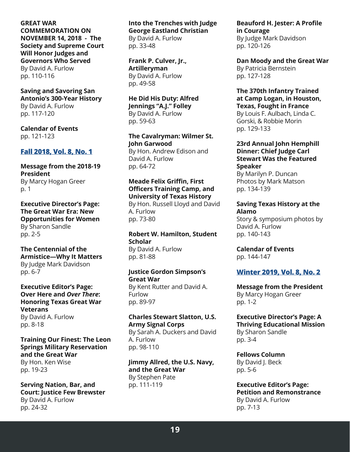#### **GREAT WAR COMMEMORATION ON NOVEMBER 14, 2018 - The Society and Supreme Court Will Honor Judges and Governors Who Served** By David A. Furlow

pp. 110-116

#### **Saving and Savoring San Antonio's 300-Year History**

By David A. Furlow pp. 117-120

**Calendar of Events** pp. 121-123

## **[Fall 2018, Vol. 8, No. 1](https://www.texascourthistory.org/Content/Newsletters//TSCHS%20Fall%202018%20for%20WEB.pdf)**

#### **Message from the 2018-19 President** By Marcy Hogan Greer p. 1

**Executive Director's Page: The Great War Era: New Opportunities for Women** By Sharon Sandle pp. 2-5

#### **The Centennial of the Armistice—Why It Matters** By Judge Mark Davidson pp. 6-7

#### **Executive Editor's Page: Over Here and** *Over There***: Honoring Texas Great War Veterans** By David A. Furlow pp. 8-18

**Training Our Finest: The Leon Springs Military Reservation and the Great War** By Hon. Ken Wise pp. 19-23

**Serving Nation, Bar, and Court: Justice Few Brewster** By David A. Furlow pp. 24-32

# **Into the Trenches with Judge George Eastland Christian**

By David A. Furlow pp. 33-48

**Frank P. Culver, Jr., Artilleryman** By David A. Furlow pp. 49-58

#### **He Did His Duty: Alfred Jennings "A.J." Folley** By David A. Furlow pp. 59-63

**The Cavalryman: Wilmer St. John Garwood**

By Hon. Andrew Edison and David A. Furlow pp. 64-72

# **Meade Felix Griffin, First Officers Training Camp, and University of Texas History**

By Hon. Russell Lloyd and David A. Furlow pp. 73-80

**Robert W. Hamilton, Student Scholar** By David A. Furlow pp. 81-88

#### **Justice Gordon Simpson's Great War**

By Kent Rutter and David A. Furlow pp. 89-97

# **Charles Stewart Slatton, U.S. Army Signal Corps**

By Sarah A. Duckers and David A. Furlow pp. 98-110

**Jimmy Allred, the U.S. Navy, and the Great War** By Stephen Pate pp. 111-119

**Beauford H. Jester: A Profile in Courage** By Judge Mark Davidson pp. 120-126

**Dan Moody and the Great War** By Patricia Bernstein pp. 127-128

#### **The 370th Infantry Trained at Camp Logan, in Houston, Texas, Fought in France**

By Louis F. Aulbach, Linda C. Gorski, & Robbie Morin pp. 129-133

**23rd Annual John Hemphill Dinner: Chief Judge Carl Stewart Was the Featured Speaker**

By Marilyn P. Duncan Photos by Mark Matson pp. 134-139

#### **Saving Texas History at the Alamo**

Story & symposium photos by David A. Furlow pp. 140-143

**Calendar of Events** pp. 144-147

# **[Winter 2019, Vol. 8, No. 2](https://www.texascourthistory.org/Content/Newsletters//TSCHS%20Winter%202019%20correct.pdf)**

**Message from the President** By Marcy Hogan Greer pp. 1-2

#### **Executive Director's Page: A Thriving Educational Mission** By Sharon Sandle pp. 3-4

**Fellows Column** By David J. Beck pp. 5-6

**Executive Editor's Page: Petition and Remonstrance** By David A. Furlow pp. 7-13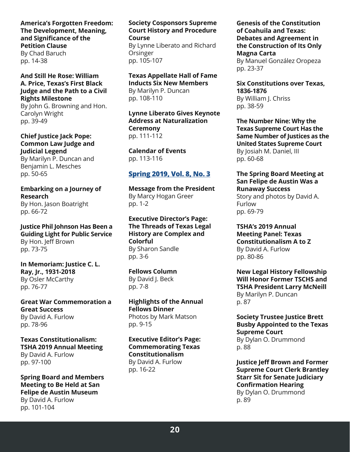#### **America's Forgotten Freedom: The Development, Meaning, and Significance of the Petition Clause** By Chad Baruch pp. 14-38

### **And Still He Rose: William A. Price, Texas's First Black Judge and the Path to a Civil Rights Milestone**

By John G. Browning and Hon. Carolyn Wright pp. 39-49

**Chief Justice Jack Pope: Common Law Judge and Judicial Legend**

By Marilyn P. Duncan and Benjamin L. Mesches pp. 50-65

**Embarking on a Journey of Research** By Hon. Jason Boatright pp. 66-72

**Justice Phil Johnson Has Been a Guiding Light for Public Service** By Hon. Jeff Brown pp. 73-75

**In Memoriam: Justice C. L. Ray, Jr., 1931-2018** By Osler McCarthy pp. 76-77

**Great War Commemoration a Great Success** By David A. Furlow pp. 78-96

**Texas Constitutionalism: TSHA 2019 Annual Meeting** By David A. Furlow pp. 97-100

**Spring Board and Members Meeting to Be Held at San Felipe de Austin Museum** By David A. Furlow pp. 101-104

#### **Society Cosponsors Supreme Court History and Procedure Course**

By Lynne Liberato and Richard **Orsinger** pp. 105-107

**Texas Appellate Hall of Fame** 

**Inducts Six New Members** By Marilyn P. Duncan pp. 108-110

**Lynne Liberato Gives Keynote Address at Naturalization Ceremony** pp. 111-112

**Calendar of Events** pp. 113-116

# **[Spring 2019, Vol. 8, No. 3](https://www.texascourthistory.org/Content/Newsletters//TSCHS%20Spring%202019%20final.pdf)**

**Message from the President** By Marcy Hogan Greer pp. 1-2

**Executive Director's Page: The Threads of Texas Legal History are Complex and Colorful** By Sharon Sandle pp. 3-6

**Fellows Column** By David J. Beck pp. 7-8

**Highlights of the Annual Fellows Dinner** Photos by Mark Matson pp. 9-15

**Executive Editor's Page: Commemorating Texas Constitutionalism** By David A. Furlow pp. 16-22

**Genesis of the Constitution of Coahuila and Texas: Debates and Agreement in the Construction of Its Only Magna Carta** By Manuel González Oropeza pp. 23-37

**Six Constitutions over Texas, 1836-1876** By William J. Chriss pp. 38-59

**The Number Nine: Why the Texas Supreme Court Has the Same Number of Justices as the United States Supreme Court** By Josiah M. Daniel, III pp. 60-68

#### **The Spring Board Meeting at San Felipe de Austin Was a Runaway Success**

Story and photos by David A. Furlow pp. 69-79

**TSHA's 2019 Annual Meeting Panel: Texas Constitutionalism A to Z** By David A. Furlow pp. 80-86

**New Legal History Fellowship Will Honor Former TSCHS and TSHA President Larry McNeill** By Marilyn P. Duncan p. 87

**Society Trustee Justice Brett Busby Appointed to the Texas Supreme Court** By Dylan O. Drummond p. 88

**Justice Jeff Brown and Former Supreme Court Clerk Brantley Starr Sit for Senate Judiciary Confirmation Hearing** By Dylan O. Drummond p. 89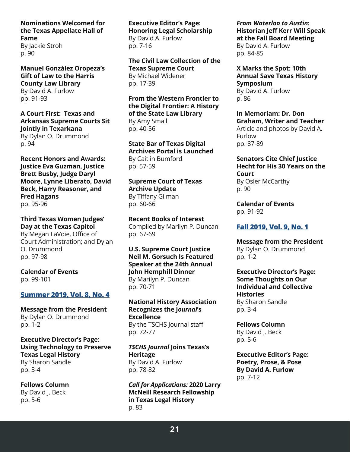# **Nominations Welcomed for the Texas Appellate Hall of Fame**

By Jackie Stroh p. 90

**Manuel González Oropeza's Gift of Law to the Harris County Law Library** By David A. Furlow pp. 91-93

**A Court First: Texas and Arkansas Supreme Courts Sit Jointly in Texarkana** By Dylan O. Drummond p. 94

**Recent Honors and Awards: Justice Eva Guzman, Justice Brett Busby, Judge Daryl Moore, Lynne Liberato, David Beck, Harry Reasoner, and Fred Hagans** pp. 95-96

**Third Texas Women Judges' Day at the Texas Capitol** By Megan LaVoie, Office of Court Administration; and Dylan O. Drummond pp. 97-98

**Calendar of Events** pp. 99-101

#### **[Summer 2019, Vol. 8, No. 4](https://www.texascourthistory.org/Content/Newsletters//TSCHS%20Summer%20Journal%202019rev.pdf)**

**Message from the President** By Dylan O. Drummond pp. 1-2

**Executive Director's Page: Using Technology to Preserve Texas Legal History** By Sharon Sandle pp. 3-4

**Fellows Column** By David J. Beck pp. 5-6

**Executive Editor's Page: Honoring Legal Scholarship** By David A. Furlow pp. 7-16

**The Civil Law Collection of the Texas Supreme Court** By Michael Widener pp. 17-39

**From the Western Frontier to the Digital Frontier: A History of the State Law Library** By Amy Small pp. 40-56

**State Bar of Texas Digital Archives Portal is Launched** By Caitlin Bumford pp. 57-59

**Supreme Court of Texas Archive Update** By Tiffany Gilman pp. 60-66

**Recent Books of Interest** Compiled by Marilyn P. Duncan pp. 67-69

**U.S. Supreme Court Justice Neil M. Gorsuch Is Featured Speaker at the 24th Annual John Hemphill Dinner** By Marilyn P. Duncan pp. 70-71

**National History Association Recognizes the J***ournal***'s Excellence** By the TSCHS Journal staff pp. 72-77

*TSCHS Journal* **Joins Texas's Heritage** By David A. Furlow pp. 78-82

*Call for Applications:* **2020 Larry McNeill Research Fellowship in Texas Legal History** p. 83

*From Waterloo to Austin***: Historian Jeff Kerr Will Speak at the Fall Board Meeting** By David A. Furlow pp. 84-85

**X Marks the Spot: 10th Annual Save Texas History Symposium** By David A. Furlow p. 86

**In Memoriam: Dr. Don Graham, Writer and Teacher** Article and photos by David A. Furlow pp. 87-89

**Senators Cite Chief Justice Hecht for His 30 Years on the Court**

By Osler McCarthy p. 90

**Calendar of Events** pp. 91-92

## **[Fall 2019, Vol. 9, No. 1](https://www.texascourthistory.org/Content/Newsletters//TSCHS%20Journal%20Fall%202019%20final.pdf)**

**Message from the President** By Dylan O. Drummond pp. 1-2

**Executive Director's Page: Some Thoughts on Our Individual and Collective Histories** By Sharon Sandle pp. 3-4

**Fellows Column** By David J. Beck pp. 5-6

**Executive Editor's Page: Poetry, Prose, & Pose By David A. Furlow** pp. 7-12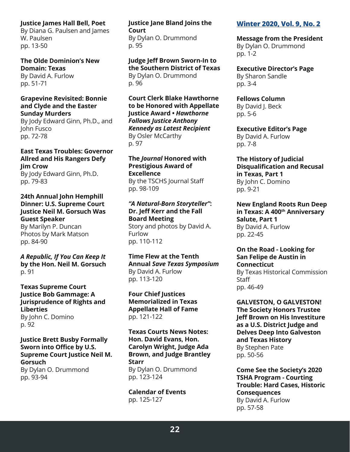#### **Justice James Hall Bell, Poet**

By Diana G. Paulsen and James W. Paulsen pp. 13-50

#### **The Olde Dominion's New Domain: Texas** By David A. Furlow

pp. 51-71

#### **Grapevine Revisited: Bonnie and Clyde and the Easter Sunday Murders**

By Jody Edward Ginn, Ph.D., and John Fusco pp. 72-78

#### **East Texas Troubles: Governor Allred and His Rangers Defy Jim Crow** By Jody Edward Ginn, Ph.D.

pp. 79-83

#### **24th Annual John Hemphill Dinner: U.S. Supreme Court Justice Neil M. Gorsuch Was Guest Speaker** By Marilyn P. Duncan Photos by Mark Matson

pp. 84-90

*A Republic, If You Can Keep It* **by the Hon. Neil M. Gorsuch** p. 91

#### **Texas Supreme Court Justice Bob Gammage: A Jurisprudence of Rights and Liberties**  By John C. Domino p. 92

## **Justice Brett Busby Formally Sworn into Office by U.S. Supreme Court Justice Neil M. Gorsuch**

By Dylan O. Drummond pp. 93-94

## **Justice Jane Bland Joins the Court** By Dylan O. Drummond p. 95

**Judge Jeff Brown Sworn-In to the Southern District of Texas** By Dylan O. Drummond p. 96

**Court Clerk Blake Hawthorne to be Honored with Appellate Justice Award •** *Hawthorne Follows Justice Anthony Kennedy as Latest Recipient* By Osler McCarthy p. 97

**The** *Journal* **Honored with Prestigious Award of Excellence** By the TSCHS Journal Staff pp. 98-109

## *"A Natural-Born Storyteller"***: Dr. Jeff Kerr and the Fall Board Meeting**

Story and photos by David A. Furlow pp. 110-112

#### **Time Flew at the Tenth Annual** *Save Texas Symposium* By David A. Furlow pp. 113-120

**Four Chief Justices Memorialized in Texas Appellate Hall of Fame** pp. 121-122

**Texas Courts News Notes: Hon. David Evans, Hon. Carolyn Wright, Judge Ada Brown, and Judge Brantley Starr** By Dylan O. Drummond pp. 123-124

**Calendar of Events** pp. 125-127

## **[Winter 2020, Vol. 9, No. 2](https://www.texascourthistory.org/Content/Newsletters//TSCHS%20Winter%202020.pdf)**

**Message from the President** By Dylan O. Drummond pp. 1-2

**Executive Director's Page** By Sharon Sandle pp. 3-4

**Fellows Column** By David J. Beck pp. 5-6

**Executive Editor's Page** By David A. Furlow pp. 7-8

**The History of Judicial Disqualification and Recusal in Texas, Part 1** By John C. Domino pp. 9-21

**New England Roots Run Deep in Texas: A 400th Anniversary Salute, Part 1** By David A. Furlow pp. 22-45

**On the Road - Looking for San Felipe de Austin in Connecticut** By Texas Historical Commission **Staff** pp. 46-49

**GALVESTON, O GALVESTON! The Society Honors Trustee Jeff Brown on His Investiture as a U.S. District Judge and Delves Deep Into Galveston and Texas History** By Stephen Pate pp. 50-56

**Come See the Society's 2020 TSHA Program - Courting Trouble: Hard Cases, Historic Consequences** By David A. Furlow pp. 57-58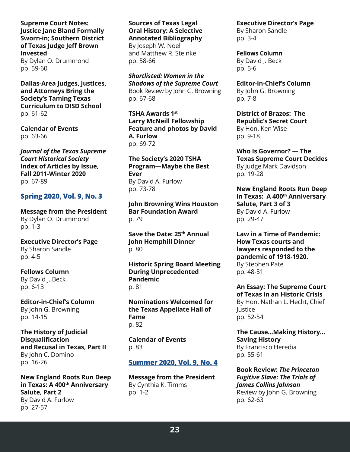**Supreme Court Notes: Justice Jane Bland Formally Sworn-in; Southern District of Texas Judge Jeff Brown Invested** By Dylan O. Drummond pp. 59-60

**Dallas-Area Judges, Justices, and Attorneys Bring the Society's Taming Texas Curriculum to DISD School** pp. 61-62

**Calendar of Events** pp. 63-66

*Journal of the Texas Supreme Court Historical Society* **Index of Articles by Issue, Fall 2011-Winter 2020** pp. 67-89

## **[Spring 2020, Vol.](https://www.texascourthistory.org/Content/Newsletters//TSCHS_Spring_2020.pdf) 9, No. 3**

**Message from the President** By Dylan O. Drummond pp. 1-3

**Executive Director's Page** By Sharon Sandle pp. 4-5

**Fellows Column** By David J. Beck pp. 6-13

**Editor-in-Chief's Column** By John G. Browning pp. 14-15

**The History of Judicial Disqualification and Recusal in Texas, Part II** By John C. Domino pp. 16-26

**New England Roots Run Deep in Texas: A 400<sup>th</sup> Anniversary Salute, Part 2** By David A. Furlow pp. 27-57

**Sources of Texas Legal Oral History: A Selective Annotated Bibliography** By Joseph W. Noel

and Matthew R. Steinke pp. 58-66

*Shortlisted: Women in the Shadows of the Supreme Court* Book Review by John G. Browning pp. 67-68

**TSHA Awards 1st Larry McNeill Fellowship Feature and photos by David A. Furlow** pp. 69-72

**The Society's 2020 TSHA Program—Maybe the Best Ever** By David A. Furlow pp. 73-78

**John Browning Wins Houston Bar Foundation Award** p. 79

**Save the Date: 25th Annual John Hemphill Dinner** p. 80

**Historic Spring Board Meeting During Unprecedented Pandemic** p. 81

**Nominations Welcomed for the Texas Appellate Hall of Fame** p. 82

**Calendar of Events** p. 83

## **Summer [2020, Vol.](https://www.texascourthistory.org/Content/Newsletters/TSCHS_Summer_2020.pdf) 9, No. 4**

**Message from the President** By Cynthia K. Timms pp. 1-2

**Executive Director's Page** By Sharon Sandle

pp. 3-4

**Fellows Column** By David J. Beck pp. 5-6

**Editor-in-Chief's Column** By John G. Browning pp. 7-8

**District of Brazos: The Republic's Secret Court** By Hon. Ken Wise pp. 9-18

**Who Is Governor? — The Texas Supreme Court Decides** By Judge Mark Davidson pp. 19-28

**New England Roots Run Deep in Texas: A 400<sup>th</sup> Anniversary Salute, Part 3 of 3** By David A. Furlow pp. 29-47

**Law in a Time of Pandemic: How Texas courts and lawyers responded to the pandemic of 1918-1920.** By Stephen Pate pp. 48-51

**An Essay: The Supreme Court of Texas in an Historic Crisis** By Hon. Nathan L. Hecht, Chief Justice pp. 52-54

**The Cause...Making History... Saving History** By Francisco Heredia pp. 55-61

**Book Review:** *The Princeton Fugitive Slave: The Trials of James Collins Johnson* Review by John G. Browning pp. 62-63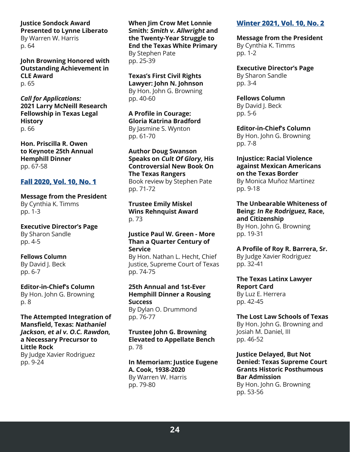**Justice Sondock Award Presented to Lynne Liberato** By Warren W. Harris p. 64

**John Browning Honored with Outstanding Achievement in CLE Award** p. 65

*Call for Applications:* **2021 Larry McNeill Research Fellowship in Texas Legal History** p. 66

**Hon. Priscilla R. Owen to Keynote 25th Annual Hemphill Dinner** pp. 67-58

#### **[Fall 2020, Vol. 10, No. 1](https://www.texascourthistory.org/Content/Newsletters//TSCHS%20Fall%202020%20(1).pdf)**

**Message from the President** By Cynthia K. Timms pp. 1-3

**Executive Director's Page** By Sharon Sandle pp. 4-5

**Fellows Column** By David I. Beck

pp. 6-7

**Editor-in-Chief's Column** By Hon. John G. Browning p. 8

**The Attempted Integration of Mansfield, Texas: Nathaniel Jackson, et al v. O.C. Rawdon, a Necessary Precursor to Little Rock** By Judge Xavier Rodriguez pp. 9-24

**When Jim Crow Met Lonnie Smith: Smith v. Allwright and the Twenty-Year Struggle to End the Texas White Primary** By Stephen Pate pp. 25-39

**Texas's First Civil Rights Lawyer: John N. Johnson** By Hon. John G. Browning pp. 40-60

**A Profile in Courage: Gloria Katrina Bradford** By Jasmine S. Wynton pp. 61-70

**Author Doug Swanson Speaks on Cult Of Glory, His Controversial New Book On The Texas Rangers** Book review by Stephen Pate pp. 71-72

**Trustee Emily Miskel Wins Rehnquist Award** p. 73

**Justice Paul W. Green - More Than a Quarter Century of Service**

By Hon. Nathan L. Hecht, Chief Justice, Supreme Court of Texas pp. 74-75

**25th Annual and 1st-Ever Hemphill Dinner a Rousing Success** By Dylan O. Drummond

pp. 76-77

**Trustee John G. Browning Elevated to Appellate Bench** p. 78

**In Memoriam: Justice Eugene A. Cook, 1938-2020**  By Warren W. Harris pp. 79-80

## **Winter [2021, Vol. 10, No. 2](https://www.texascourthistory.org/Content/Newsletters//TSCHS_Winter_2021.pdf)**

**Message from the President** By Cynthia K. Timms pp. 1-2

**Executive Director's Page** By Sharon Sandle pp. 3-4

**Fellows Column** By David J. Beck pp. 5-6

**Editor-in-Chief's Column** By Hon. John G. Browning pp. 7-8

**Injustice: Racial Violence against Mexican Americans on the Texas Border** By Monica Muñoz Martinez

pp. 9-18

**The Unbearable Whiteness of Being: In Re Rodriguez, Race, and Citizenship** By Hon. John G. Browning pp. 19-31

**A Profile of Roy R. Barrera, Sr.**

By Judge Xavier Rodriguez pp. 32-41

**The Texas Latinx Lawyer Report Card** By Luz E. Herrera pp. 42-45

**The Lost Law Schools of Texas** By Hon. John G. Browning and Josiah M. Daniel, III pp. 46-52

**Justice Delayed, But Not Denied: Texas Supreme Court Grants Historic Posthumous Bar Admission** By Hon. John G. Browning pp. 53-56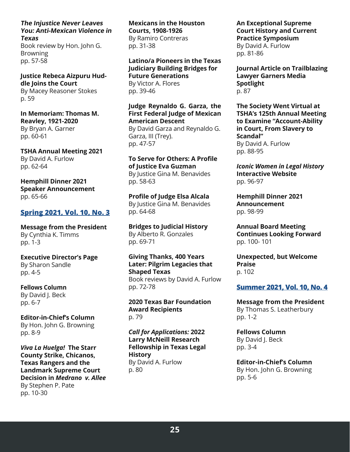**The Injustice Never Leaves You: Anti-Mexican Violence in Texas**

Book review by Hon. John G. Browning pp. 57-58

**Justice Rebeca Aizpuru Huddle Joins the Court** By Macey Reasoner Stokes p. 59

**In Memoriam: Thomas M. Reavley, 1921-2020** By Bryan A. Garner pp. 60-61

**TSHA Annual Meeting 2021** By David A. Furlow pp. 62-64

**Hemphill Dinner 2021 Speaker Announcement** pp. 65-66

#### **[Spring 2021, Vol. 10, No. 3](https://www.texascourthistory.org/Content/Newsletters//TSCHS%20Spring%202021%206-21-21.pdf)**

**Message from the President** By Cynthia K. Timms pp. 1-3

**Executive Director's Page** By Sharon Sandle pp. 4-5

**Fellows Column** By David I. Beck pp. 6-7

**Editor-in-Chief's Column** By Hon. John G. Browning pp. 8-9

*Viva La Huelga!* **The Starr County Strike, Chicanos, Texas Rangers and the Landmark Supreme Court Decision in** *Medrano v. Allee* By Stephen P. Pate pp. 10-30

**Mexicans in the Houston Courts, 1908-1926** By Ramiro Contreras pp. 31-38

**Latino/a Pioneers in the Texas Judiciary Building Bridges for Future Generations** By Victor A. Flores

pp. 39-46

**Judge Reynaldo G. Garza, the First Federal Judge of Mexican American Descent**

By David Garza and Reynaldo G. Garza, III (Trey). pp. 47-57

**To Serve for Others: A Profile of Justice Eva Guzman** By Justice Gina M. Benavides pp. 58-63

**Profile of Judge Elsa Alcala** By Justice Gina M. Benavides pp. 64-68

**Bridges to Judicial History** By Alberto R. Gonzales pp. 69-71

**Giving Thanks, 400 Years Later: Pilgrim Legacies that Shaped Texas**

Book reviews by David A. Furlow pp. 72-78

**2020 Texas Bar Foundation Award Recipients** p. 79

*Call for Applications:* **2022 Larry McNeill Research Fellowship in Texas Legal History** By David A. Furlow p. 80

**An Exceptional Supreme Court History and Current Practice Symposium**

By David A. Furlow pp. 81-86

**Journal Article on Trailblazing Lawyer Garners Media Spotlight** p. 87

**The Society Went Virtual at TSHA's 125th Annual Meeting to Examine "Account-Ability in Court, From Slavery to Scandal"** By David A. Furlow pp. 88-95

*Iconic Women in Legal History* **Interactive Website** pp. 96-97

**Hemphill Dinner 2021 Announcement** pp. 98-99

**Annual Board Meeting Continues Looking Forward** pp. 100- 101

**Unexpected, but Welcome Praise** p. 102

## **[Summer 2021, Vol. 10, No. 4](https://www.texascourthistory.org/Content/Newsletters//TSCHS%20Summer%202021%20(3).pdf)**

**Message from the President** By Thomas S. Leatherbury pp. 1-2

**Fellows Column** By David J. Beck pp. 3-4

**Editor-in-Chief's Column** By Hon. John G. Browning pp. 5-6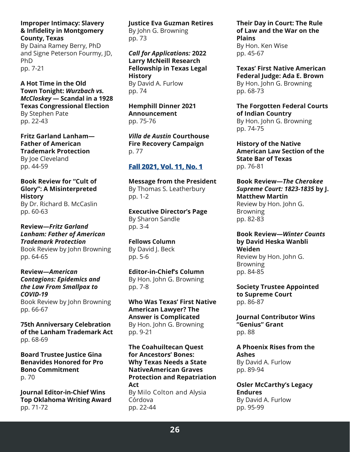**Improper Intimacy: Slavery & Infidelity in Montgomery County, Texas**

By Daina Ramey Berry, PhD and Signe Peterson Fourmy, JD, PhD pp. 7-21

**A Hot Time in the Old Town Tonight:** *Wurzbach vs. McCloskey* **— Scandal in a 1928 Texas Congressional Election** By Stephen Pate pp. 22-43

**Fritz Garland Lanham— Father of American Trademark Protection** By Joe Cleveland pp. 44-59

**Book Review for "Cult of Glory": A Misinterpreted History**

By Dr. Richard B. McCaslin pp. 60-63

**Review—***Fritz Garland Lanham: Father of American Trademark Protection* Book Review by John Browning pp. 64-65

**Review—***American Contagions: Epidemics and the Law From Smallpox to COVID-19* Book Review by John Browning pp. 66-67

**75th Anniversary Celebration of the Lanham Trademark Act** pp. 68-69

**Board Trustee Justice Gina Benavides Honored for Pro Bono Commitment** p. 70

**Journal Editor-in-Chief Wins Top Oklahoma Writing Award** pp. 71-72

**Justice Eva Guzman Retires** By John G. Browning pp. 73

*Call for Applications:* **2022 Larry McNeill Research Fellowship in Texas Legal History** By David A. Furlow pp. 74

**Hemphill Dinner 2021 Announcement** pp. 75-76

*Villa de Austin* **Courthouse Fire Recovery Campaign** p. 77

## **Fal[l 2021, Vol. 11, No. 1](https://www.texascourthistory.org/content/newsletters/TSCHS%20Fall%202021%20DRAFT%2011-17.pdf)**

**Message from the President** By Thomas S. Leatherbury pp. 1-2

**Executive Director's Page** By Sharon Sandle pp. 3-4

**Fellows Column** By David J. Beck pp. 5-6

**Editor-in-Chief's Column** By Hon. John G. Browning pp. 7-8

**Who Was Texas' First Native American Lawyer? The Answer is Complicated** By Hon. John G. Browning pp. 9-21

**The Coahuiltecan Quest for Ancestors' Bones: Why Texas Needs a State NativeAmerican Graves Protection and Repatriation Act** By Milo Colton and Alysia Córdova pp. 22-44

**Their Day in Court: The Rule of Law and the War on the Plains** By Hon. Ken Wise pp. 45-67

**Texas' First Native American Federal Judge: Ada E. Brown** By Hon. John G. Browning pp. 68-73

**The Forgotten Federal Courts of Indian Country** By Hon. John G. Browning pp. 74-75

**History of the Native American Law Section of the State Bar of Texas** pp. 76-81

**Book Review—***The Cherokee Supreme Court: 1823-1835* **by J. Matthew Martin** Review by Hon. John G.

Browning pp. 82-83

**Book Review—***Winter Counts* **by David Heska Wanbli Weiden** Review by Hon. John G.

Browning pp. 84-85

**Society Trustee Appointed to Supreme Court** pp. 86-87

**Journal Contributor Wins "Genius" Grant** pp. 88

**A Phoenix Rises from the Ashes** By David A. Furlow pp. 89-94

**Osler McCarthy's Legacy Endures** By David A. Furlow pp. 95-99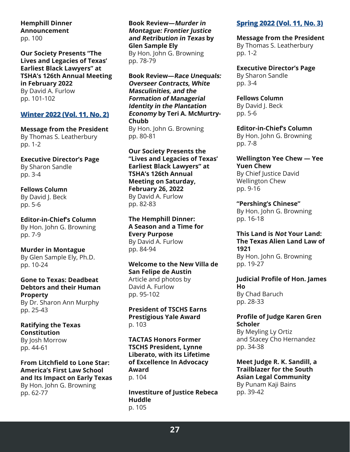**Hemphill Dinner Announcement** pp. 100

**Our Society Presents "The Lives and Legacies of Texas' Earliest Black Lawyers" at TSHA's 126th Annual Meeting in February 2022** By David A. Furlow

pp. 101-102

#### **[Winter 2022 \(Vol. 11, No. 2\)](https://bit.ly/3oYxOA3)**

**Message from the President** By Thomas S. Leatherbury pp. 1-2

**Executive Director's Page** By Sharon Sandle pp. 3-4

#### **Fellows Column** By David J. Beck pp. 5-6

**Editor-in-Chief's Column** By Hon. John G. Browning pp. 7-9

**Murder in Montague** By Glen Sample Ely, Ph.D. pp. 10-24

**Gone to Texas: Deadbeat Debtors and their Human Property** By Dr. Sharon Ann Murphy pp. 25-43

**Ratifying the Texas Constitution** By Josh Morrow pp. 44-61

**From Litchfield to Lone Star: America's First Law School and Its Impact on Early Texas** By Hon. John G. Browning pp. 62-77

**Book Review—Murder in Montague: Frontier Justice and Retribution in Texas by Glen Sample Ely**

By Hon. John G. Browning pp. 78-79

**Book Review—Race Unequals: Overseer Contracts, White Masculinities, and the Formation of Managerial Identity in the Plantation Economy by Teri A. McMurtry-Chubb** By Hon. John G. Browning pp. 80-81

**Our Society Presents the "Lives and Legacies of Texas' Earliest Black Lawyers" at TSHA's 126th Annual Meeting on Saturday, February 26, 2022** By David A. Furlow pp. 82-83

**The Hemphill Dinner: A Season and a Time for Every Purpose** By David A. Furlow pp. 84-94

**Welcome to the New Villa de San Felipe de Austin** Article and photos by David A. Furlow pp. 95-102

**President of TSCHS Earns Prestigious Yale Award** p. 103

**TACTAS Honors Former TSCHS President, Lynne Liberato, with its Lifetime of Excellence In Advocacy Award** p. 104

**Investiture of Justice Rebeca Huddle** p. 105

## **[Spring 2022 \(Vol. 11, No. 3\)](https://www.texascourthistory.org/Content/Newsletters/TSCHS%20Spring%202022%20(1).pdf)**

**Message from the President**

By Thomas S. Leatherbury pp. 1-2

**Executive Director's Page** By Sharon Sandle pp. 3-4

**Fellows Column** By David J. Beck

pp. 5-6

**Editor-in-Chief's Column** By Hon. John G. Browning pp. 7-8

**Wellington Yee Chew — Yee Yuen Chew** By Chief Justice David Wellington Chew pp. 9-16

**"Pershing's Chinese"** By Hon. John G. Browning pp. 16-18

**This Land is Not Your Land: The Texas Alien Land Law of 1921** By Hon. John G. Browning pp. 19-27

**Judicial Profile of Hon. James Ho** By Chad Baruch pp. 28-33

**Profile of Judge Karen Gren Scholer**

By Meyling Ly Ortiz and Stacey Cho Hernandez pp. 34-38

**Meet Judge R. K. Sandill, a Trailblazer for the South Asian Legal Community** By Punam Kaji Bains pp. 39-42